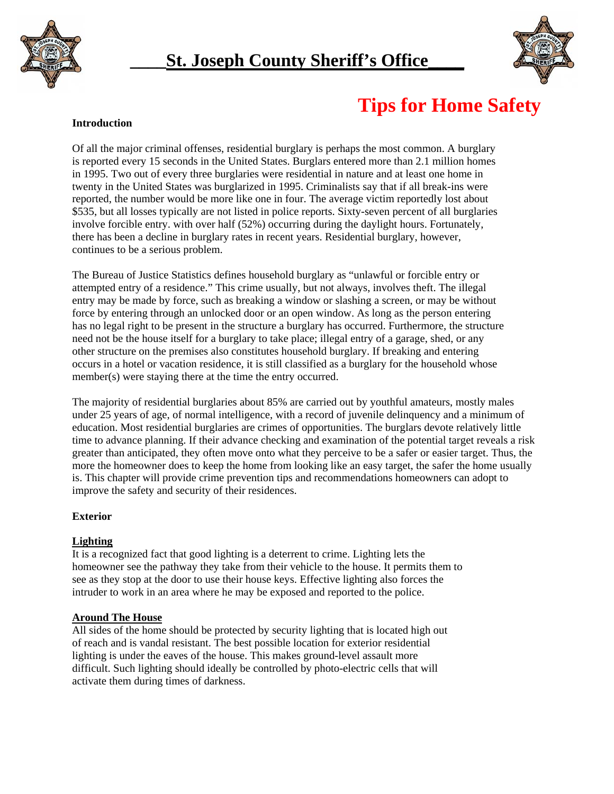



# **Tips for Home Safety**

#### **Introduction**

Of all the major criminal offenses, residential burglary is perhaps the most common. A burglary is reported every 15 seconds in the United States. Burglars entered more than 2.1 million homes in 1995. Two out of every three burglaries were residential in nature and at least one home in twenty in the United States was burglarized in 1995. Criminalists say that if all break-ins were reported, the number would be more like one in four. The average victim reportedly lost about \$535, but all losses typically are not listed in police reports. Sixty-seven percent of all burglaries involve forcible entry. with over half (52%) occurring during the daylight hours. Fortunately, there has been a decline in burglary rates in recent years. Residential burglary, however, continues to be a serious problem.

The Bureau of Justice Statistics defines household burglary as "unlawful or forcible entry or attempted entry of a residence." This crime usually, but not always, involves theft. The illegal entry may be made by force, such as breaking a window or slashing a screen, or may be without force by entering through an unlocked door or an open window. As long as the person entering has no legal right to be present in the structure a burglary has occurred. Furthermore, the structure need not be the house itself for a burglary to take place; illegal entry of a garage, shed, or any other structure on the premises also constitutes household burglary. If breaking and entering occurs in a hotel or vacation residence, it is still classified as a burglary for the household whose member(s) were staying there at the time the entry occurred.

The majority of residential burglaries about 85% are carried out by youthful amateurs, mostly males under 25 years of age, of normal intelligence, with a record of juvenile delinquency and a minimum of education. Most residential burglaries are crimes of opportunities. The burglars devote relatively little time to advance planning. If their advance checking and examination of the potential target reveals a risk greater than anticipated, they often move onto what they perceive to be a safer or easier target. Thus, the more the homeowner does to keep the home from looking like an easy target, the safer the home usually is. This chapter will provide crime prevention tips and recommendations homeowners can adopt to improve the safety and security of their residences.

# **Exterior**

# **Lighting**

It is a recognized fact that good lighting is a deterrent to crime. Lighting lets the homeowner see the pathway they take from their vehicle to the house. It permits them to see as they stop at the door to use their house keys. Effective lighting also forces the intruder to work in an area where he may be exposed and reported to the police.

#### **Around The House**

All sides of the home should be protected by security lighting that is located high out of reach and is vandal resistant. The best possible location for exterior residential lighting is under the eaves of the house. This makes ground-level assault more difficult. Such lighting should ideally be controlled by photo-electric cells that will activate them during times of darkness.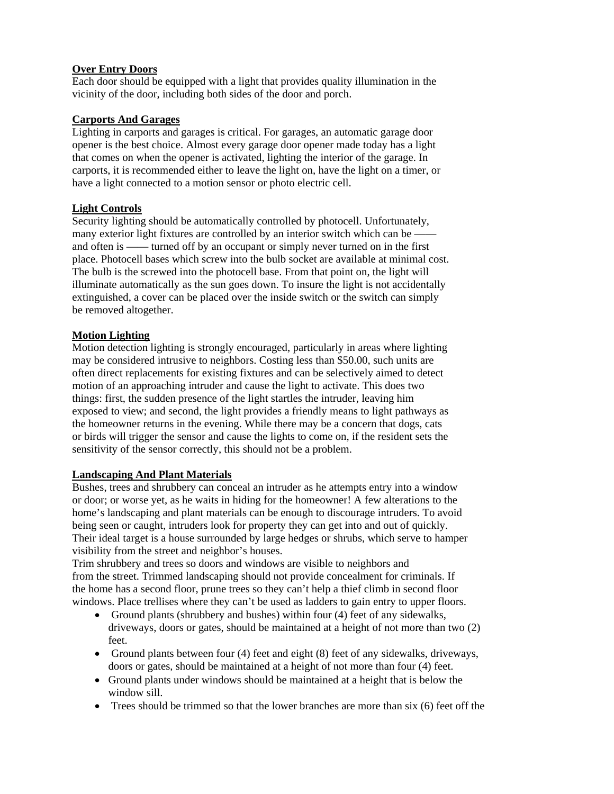### **Over Entry Doors**

Each door should be equipped with a light that provides quality illumination in the vicinity of the door, including both sides of the door and porch.

#### **Carports And Garages**

Lighting in carports and garages is critical. For garages, an automatic garage door opener is the best choice. Almost every garage door opener made today has a light that comes on when the opener is activated, lighting the interior of the garage. In carports, it is recommended either to leave the light on, have the light on a timer, or have a light connected to a motion sensor or photo electric cell.

#### **Light Controls**

Security lighting should be automatically controlled by photocell. Unfortunately, many exterior light fixtures are controlled by an interior switch which can be – and often is —— turned off by an occupant or simply never turned on in the first place. Photocell bases which screw into the bulb socket are available at minimal cost. The bulb is the screwed into the photocell base. From that point on, the light will illuminate automatically as the sun goes down. To insure the light is not accidentally extinguished, a cover can be placed over the inside switch or the switch can simply be removed altogether.

#### **Motion Lighting**

Motion detection lighting is strongly encouraged, particularly in areas where lighting may be considered intrusive to neighbors. Costing less than \$50.00, such units are often direct replacements for existing fixtures and can be selectively aimed to detect motion of an approaching intruder and cause the light to activate. This does two things: first, the sudden presence of the light startles the intruder, leaving him exposed to view; and second, the light provides a friendly means to light pathways as the homeowner returns in the evening. While there may be a concern that dogs, cats or birds will trigger the sensor and cause the lights to come on, if the resident sets the sensitivity of the sensor correctly, this should not be a problem.

#### **Landscaping And Plant Materials**

Bushes, trees and shrubbery can conceal an intruder as he attempts entry into a window or door; or worse yet, as he waits in hiding for the homeowner! A few alterations to the home's landscaping and plant materials can be enough to discourage intruders. To avoid being seen or caught, intruders look for property they can get into and out of quickly. Their ideal target is a house surrounded by large hedges or shrubs, which serve to hamper visibility from the street and neighbor's houses.

Trim shrubbery and trees so doors and windows are visible to neighbors and from the street. Trimmed landscaping should not provide concealment for criminals. If the home has a second floor, prune trees so they can't help a thief climb in second floor windows. Place trellises where they can't be used as ladders to gain entry to upper floors.

- Ground plants (shrubbery and bushes) within four (4) feet of any sidewalks, driveways, doors or gates, should be maintained at a height of not more than two (2) feet.
- Ground plants between four (4) feet and eight (8) feet of any sidewalks, driveways, doors or gates, should be maintained at a height of not more than four (4) feet.
- Ground plants under windows should be maintained at a height that is below the window sill.
- Trees should be trimmed so that the lower branches are more than six (6) feet off the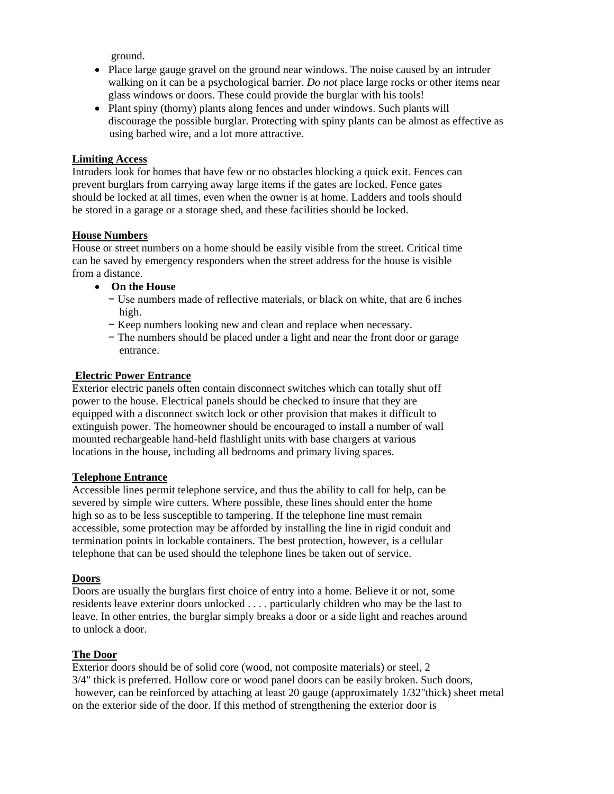ground.

- Place large gauge gravel on the ground near windows. The noise caused by an intruder walking on it can be a psychological barrier. *Do not* place large rocks or other items near glass windows or doors. These could provide the burglar with his tools!
- Plant spiny (thorny) plants along fences and under windows. Such plants will discourage the possible burglar. Protecting with spiny plants can be almost as effective as using barbed wire, and a lot more attractive.

#### **Limiting Access**

Intruders look for homes that have few or no obstacles blocking a quick exit. Fences can prevent burglars from carrying away large items if the gates are locked. Fence gates should be locked at all times, even when the owner is at home. Ladders and tools should be stored in a garage or a storage shed, and these facilities should be locked.

#### **House Numbers**

House or street numbers on a home should be easily visible from the street. Critical time can be saved by emergency responders when the street address for the house is visible from a distance.

- **On the House** 
	- − Use numbers made of reflective materials, or black on white, that are 6 inches high.
	- − Keep numbers looking new and clean and replace when necessary.
	- − The numbers should be placed under a light and near the front door or garage entrance.

### **Electric Power Entrance**

Exterior electric panels often contain disconnect switches which can totally shut off power to the house. Electrical panels should be checked to insure that they are equipped with a disconnect switch lock or other provision that makes it difficult to extinguish power. The homeowner should be encouraged to install a number of wall mounted rechargeable hand-held flashlight units with base chargers at various locations in the house, including all bedrooms and primary living spaces.

#### **Telephone Entrance**

Accessible lines permit telephone service, and thus the ability to call for help, can be severed by simple wire cutters. Where possible, these lines should enter the home high so as to be less susceptible to tampering. If the telephone line must remain accessible, some protection may be afforded by installing the line in rigid conduit and termination points in lockable containers. The best protection, however, is a cellular telephone that can be used should the telephone lines be taken out of service.

#### **Doors**

Doors are usually the burglars first choice of entry into a home. Believe it or not, some residents leave exterior doors unlocked . . . . particularly children who may be the last to leave. In other entries, the burglar simply breaks a door or a side light and reaches around to unlock a door.

#### **The Door**

Exterior doors should be of solid core (wood, not composite materials) or steel, 2 3/4" thick is preferred. Hollow core or wood panel doors can be easily broken. Such doors, however, can be reinforced by attaching at least 20 gauge (approximately 1/32"thick) sheet metal on the exterior side of the door. If this method of strengthening the exterior door is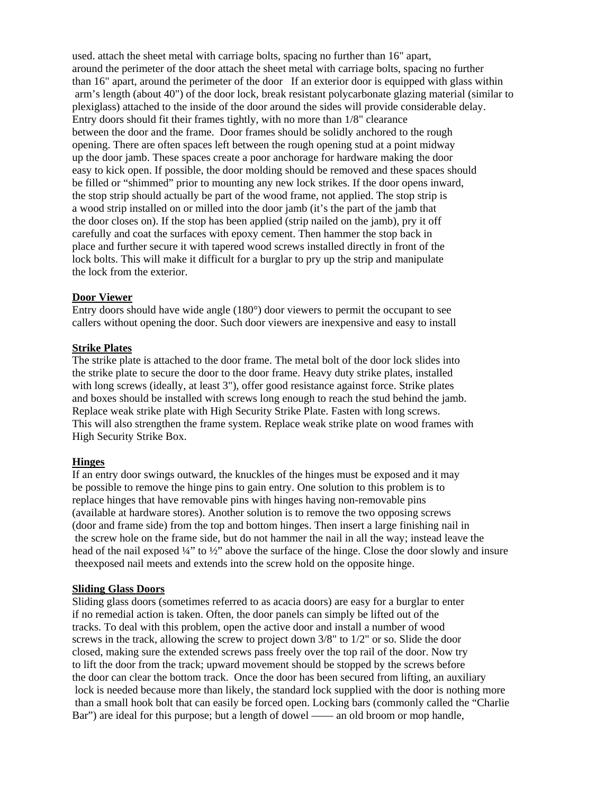used. attach the sheet metal with carriage bolts, spacing no further than 16" apart, around the perimeter of the door attach the sheet metal with carriage bolts, spacing no further than 16" apart, around the perimeter of the door If an exterior door is equipped with glass within arm's length (about 40") of the door lock, break resistant polycarbonate glazing material (similar to plexiglass) attached to the inside of the door around the sides will provide considerable delay. Entry doors should fit their frames tightly, with no more than 1/8" clearance between the door and the frame. Door frames should be solidly anchored to the rough opening. There are often spaces left between the rough opening stud at a point midway up the door jamb. These spaces create a poor anchorage for hardware making the door easy to kick open. If possible, the door molding should be removed and these spaces should be filled or "shimmed" prior to mounting any new lock strikes. If the door opens inward, the stop strip should actually be part of the wood frame, not applied. The stop strip is a wood strip installed on or milled into the door jamb (it's the part of the jamb that the door closes on). If the stop has been applied (strip nailed on the jamb), pry it off carefully and coat the surfaces with epoxy cement. Then hammer the stop back in place and further secure it with tapered wood screws installed directly in front of the lock bolts. This will make it difficult for a burglar to pry up the strip and manipulate the lock from the exterior.

#### **Door Viewer**

Entry doors should have wide angle (180°) door viewers to permit the occupant to see callers without opening the door. Such door viewers are inexpensive and easy to install

#### **Strike Plates**

The strike plate is attached to the door frame. The metal bolt of the door lock slides into the strike plate to secure the door to the door frame. Heavy duty strike plates, installed with long screws (ideally, at least 3"), offer good resistance against force. Strike plates and boxes should be installed with screws long enough to reach the stud behind the jamb. Replace weak strike plate with High Security Strike Plate. Fasten with long screws. This will also strengthen the frame system. Replace weak strike plate on wood frames with High Security Strike Box.

#### **Hinges**

If an entry door swings outward, the knuckles of the hinges must be exposed and it may be possible to remove the hinge pins to gain entry. One solution to this problem is to replace hinges that have removable pins with hinges having non-removable pins (available at hardware stores). Another solution is to remove the two opposing screws (door and frame side) from the top and bottom hinges. Then insert a large finishing nail in the screw hole on the frame side, but do not hammer the nail in all the way; instead leave the head of the nail exposed 1/4" to 1/2" above the surface of the hinge. Close the door slowly and insure theexposed nail meets and extends into the screw hold on the opposite hinge.

#### **Sliding Glass Doors**

Sliding glass doors (sometimes referred to as acacia doors) are easy for a burglar to enter if no remedial action is taken. Often, the door panels can simply be lifted out of the tracks. To deal with this problem, open the active door and install a number of wood screws in the track, allowing the screw to project down 3/8" to 1/2" or so. Slide the door closed, making sure the extended screws pass freely over the top rail of the door. Now try to lift the door from the track; upward movement should be stopped by the screws before the door can clear the bottom track. Once the door has been secured from lifting, an auxiliary lock is needed because more than likely, the standard lock supplied with the door is nothing more than a small hook bolt that can easily be forced open. Locking bars (commonly called the "Charlie Bar") are ideal for this purpose; but a length of dowel —— an old broom or mop handle,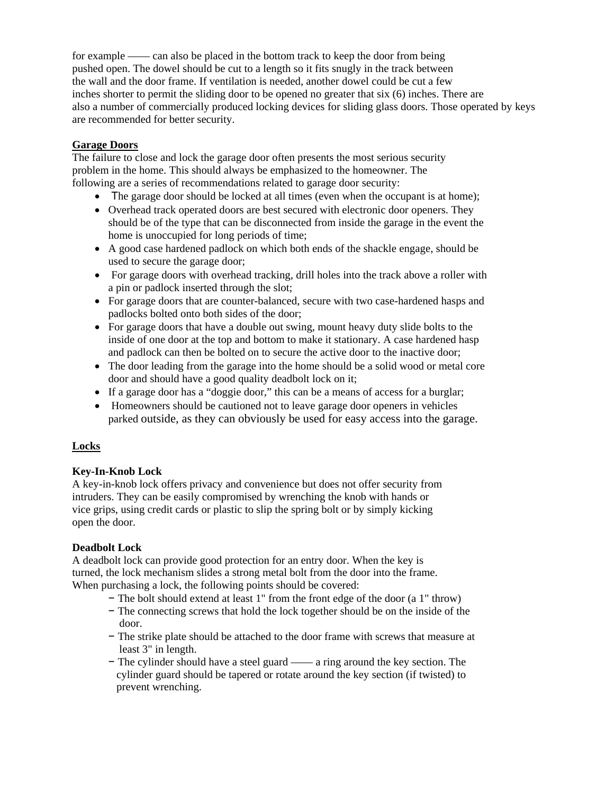for example —— can also be placed in the bottom track to keep the door from being pushed open. The dowel should be cut to a length so it fits snugly in the track between the wall and the door frame. If ventilation is needed, another dowel could be cut a few inches shorter to permit the sliding door to be opened no greater that six (6) inches. There are also a number of commercially produced locking devices for sliding glass doors. Those operated by keys are recommended for better security.

## **Garage Doors**

The failure to close and lock the garage door often presents the most serious security problem in the home. This should always be emphasized to the homeowner. The following are a series of recommendations related to garage door security:

- The garage door should be locked at all times (even when the occupant is at home);
- Overhead track operated doors are best secured with electronic door openers. They should be of the type that can be disconnected from inside the garage in the event the home is unoccupied for long periods of time;
- A good case hardened padlock on which both ends of the shackle engage, should be used to secure the garage door;
- For garage doors with overhead tracking, drill holes into the track above a roller with a pin or padlock inserted through the slot;
- For garage doors that are counter-balanced, secure with two case-hardened hasps and padlocks bolted onto both sides of the door;
- For garage doors that have a double out swing, mount heavy duty slide bolts to the inside of one door at the top and bottom to make it stationary. A case hardened hasp and padlock can then be bolted on to secure the active door to the inactive door;
- The door leading from the garage into the home should be a solid wood or metal core door and should have a good quality deadbolt lock on it;
- If a garage door has a "doggie door," this can be a means of access for a burglar;
- Homeowners should be cautioned not to leave garage door openers in vehicles parked outside, as they can obviously be used for easy access into the garage.

# **Locks**

# **Key-In-Knob Lock**

A key-in-knob lock offers privacy and convenience but does not offer security from intruders. They can be easily compromised by wrenching the knob with hands or vice grips, using credit cards or plastic to slip the spring bolt or by simply kicking open the door.

#### **Deadbolt Lock**

A deadbolt lock can provide good protection for an entry door. When the key is turned, the lock mechanism slides a strong metal bolt from the door into the frame. When purchasing a lock, the following points should be covered:

- − The bolt should extend at least 1" from the front edge of the door (a 1" throw)
- − The connecting screws that hold the lock together should be on the inside of the door.
- − The strike plate should be attached to the door frame with screws that measure at least 3" in length.
- − The cylinder should have a steel guard —— a ring around the key section. The cylinder guard should be tapered or rotate around the key section (if twisted) to prevent wrenching.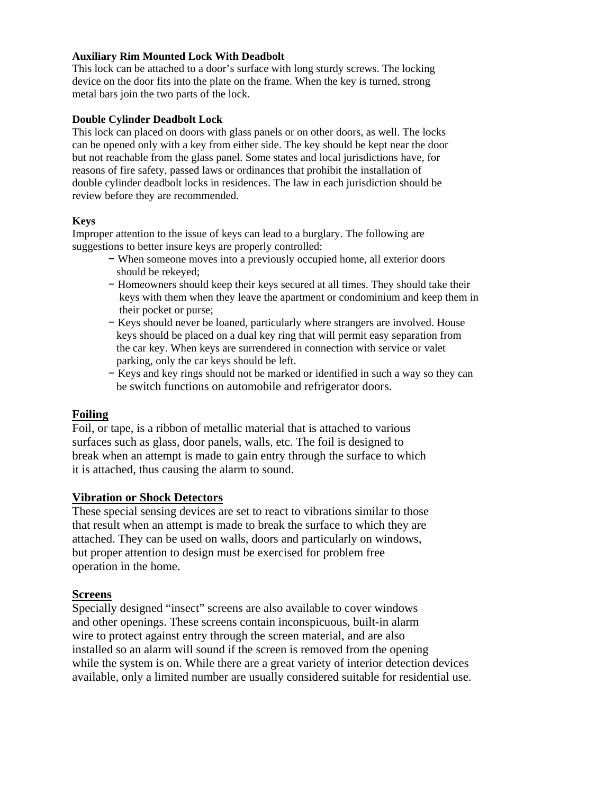#### **Auxiliary Rim Mounted Lock With Deadbolt**

This lock can be attached to a door's surface with long sturdy screws. The locking device on the door fits into the plate on the frame. When the key is turned, strong metal bars join the two parts of the lock.

#### **Double Cylinder Deadbolt Lock**

This lock can placed on doors with glass panels or on other doors, as well. The locks can be opened only with a key from either side. The key should be kept near the door but not reachable from the glass panel. Some states and local jurisdictions have, for reasons of fire safety, passed laws or ordinances that prohibit the installation of double cylinder deadbolt locks in residences. The law in each jurisdiction should be review before they are recommended.

#### **Keys**

Improper attention to the issue of keys can lead to a burglary. The following are suggestions to better insure keys are properly controlled:

- − When someone moves into a previously occupied home, all exterior doors should be rekeyed;
- − Homeowners should keep their keys secured at all times. They should take their keys with them when they leave the apartment or condominium and keep them in their pocket or purse;
- − Keys should never be loaned, particularly where strangers are involved. House keys should be placed on a dual key ring that will permit easy separation from the car key. When keys are surrendered in connection with service or valet parking, only the car keys should be left.
- − Keys and key rings should not be marked or identified in such a way so they can be switch functions on automobile and refrigerator doors.

#### **Foiling**

Foil, or tape, is a ribbon of metallic material that is attached to various surfaces such as glass, door panels, walls, etc. The foil is designed to break when an attempt is made to gain entry through the surface to which it is attached, thus causing the alarm to sound.

#### **Vibration or Shock Detectors**

These special sensing devices are set to react to vibrations similar to those that result when an attempt is made to break the surface to which they are attached. They can be used on walls, doors and particularly on windows, but proper attention to design must be exercised for problem free operation in the home.

#### **Screens**

Specially designed "insect" screens are also available to cover windows and other openings. These screens contain inconspicuous, built-in alarm wire to protect against entry through the screen material, and are also installed so an alarm will sound if the screen is removed from the opening while the system is on. While there are a great variety of interior detection devices available, only a limited number are usually considered suitable for residential use.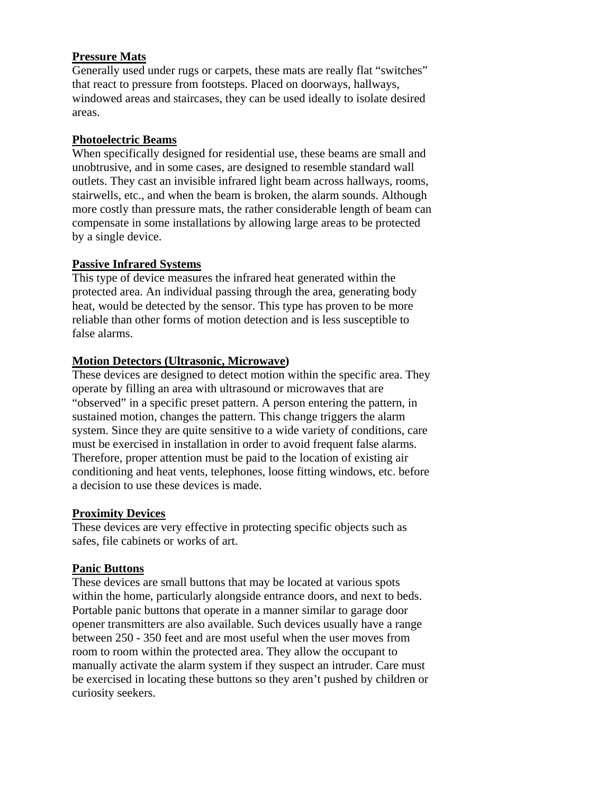# **Pressure Mats**

Generally used under rugs or carpets, these mats are really flat "switches" that react to pressure from footsteps. Placed on doorways, hallways, windowed areas and staircases, they can be used ideally to isolate desired areas.

# **Photoelectric Beams**

When specifically designed for residential use, these beams are small and unobtrusive, and in some cases, are designed to resemble standard wall outlets. They cast an invisible infrared light beam across hallways, rooms, stairwells, etc., and when the beam is broken, the alarm sounds. Although more costly than pressure mats, the rather considerable length of beam can compensate in some installations by allowing large areas to be protected by a single device.

# **Passive Infrared Systems**

This type of device measures the infrared heat generated within the protected area. An individual passing through the area, generating body heat, would be detected by the sensor. This type has proven to be more reliable than other forms of motion detection and is less susceptible to false alarms.

# **Motion Detectors (Ultrasonic, Microwave)**

These devices are designed to detect motion within the specific area. They operate by filling an area with ultrasound or microwaves that are "observed" in a specific preset pattern. A person entering the pattern, in sustained motion, changes the pattern. This change triggers the alarm system. Since they are quite sensitive to a wide variety of conditions, care must be exercised in installation in order to avoid frequent false alarms. Therefore, proper attention must be paid to the location of existing air conditioning and heat vents, telephones, loose fitting windows, etc. before a decision to use these devices is made.

# **Proximity Devices**

These devices are very effective in protecting specific objects such as safes, file cabinets or works of art.

# **Panic Buttons**

These devices are small buttons that may be located at various spots within the home, particularly alongside entrance doors, and next to beds. Portable panic buttons that operate in a manner similar to garage door opener transmitters are also available. Such devices usually have a range between 250 - 350 feet and are most useful when the user moves from room to room within the protected area. They allow the occupant to manually activate the alarm system if they suspect an intruder. Care must be exercised in locating these buttons so they aren't pushed by children or curiosity seekers.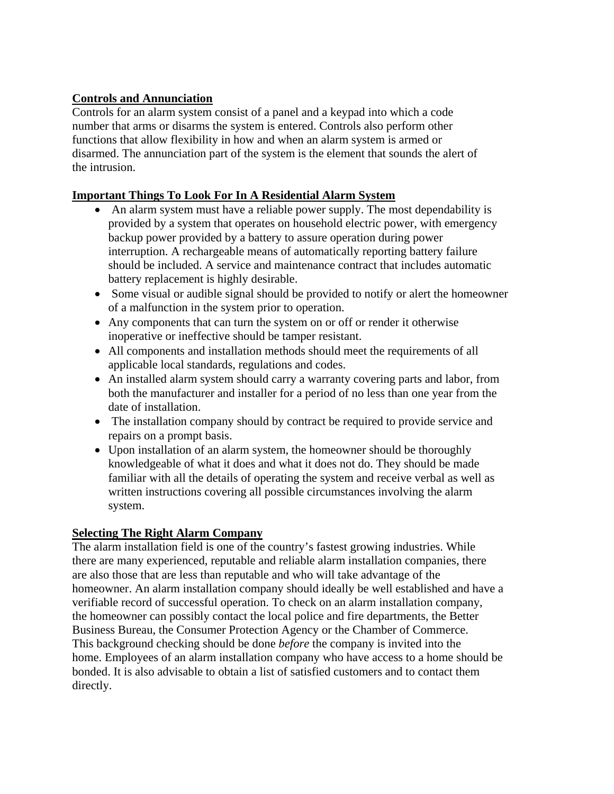# **Controls and Annunciation**

Controls for an alarm system consist of a panel and a keypad into which a code number that arms or disarms the system is entered. Controls also perform other functions that allow flexibility in how and when an alarm system is armed or disarmed. The annunciation part of the system is the element that sounds the alert of the intrusion.

# **Important Things To Look For In A Residential Alarm System**

- An alarm system must have a reliable power supply. The most dependability is provided by a system that operates on household electric power, with emergency backup power provided by a battery to assure operation during power interruption. A rechargeable means of automatically reporting battery failure should be included. A service and maintenance contract that includes automatic battery replacement is highly desirable.
- Some visual or audible signal should be provided to notify or alert the homeowner of a malfunction in the system prior to operation.
- Any components that can turn the system on or off or render it otherwise inoperative or ineffective should be tamper resistant.
- All components and installation methods should meet the requirements of all applicable local standards, regulations and codes.
- An installed alarm system should carry a warranty covering parts and labor, from both the manufacturer and installer for a period of no less than one year from the date of installation.
- The installation company should by contract be required to provide service and repairs on a prompt basis.
- Upon installation of an alarm system, the homeowner should be thoroughly knowledgeable of what it does and what it does not do. They should be made familiar with all the details of operating the system and receive verbal as well as written instructions covering all possible circumstances involving the alarm system.

# **Selecting The Right Alarm Company**

The alarm installation field is one of the country's fastest growing industries. While there are many experienced, reputable and reliable alarm installation companies, there are also those that are less than reputable and who will take advantage of the homeowner. An alarm installation company should ideally be well established and have a verifiable record of successful operation. To check on an alarm installation company, the homeowner can possibly contact the local police and fire departments, the Better Business Bureau, the Consumer Protection Agency or the Chamber of Commerce. This background checking should be done *before* the company is invited into the home. Employees of an alarm installation company who have access to a home should be bonded. It is also advisable to obtain a list of satisfied customers and to contact them directly.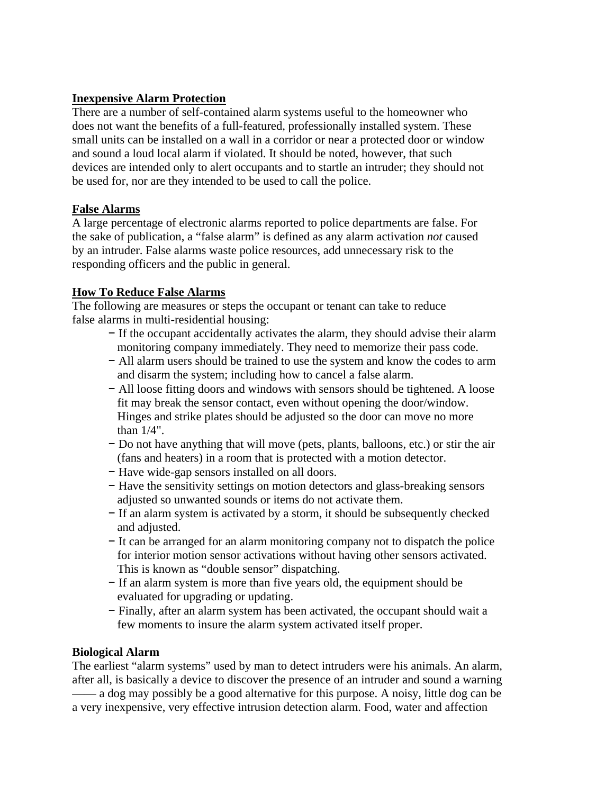# **Inexpensive Alarm Protection**

There are a number of self-contained alarm systems useful to the homeowner who does not want the benefits of a full-featured, professionally installed system. These small units can be installed on a wall in a corridor or near a protected door or window and sound a loud local alarm if violated. It should be noted, however, that such devices are intended only to alert occupants and to startle an intruder; they should not be used for, nor are they intended to be used to call the police.

# **False Alarms**

A large percentage of electronic alarms reported to police departments are false. For the sake of publication, a "false alarm" is defined as any alarm activation *not* caused by an intruder. False alarms waste police resources, add unnecessary risk to the responding officers and the public in general.

# **How To Reduce False Alarms**

The following are measures or steps the occupant or tenant can take to reduce false alarms in multi-residential housing:

- − If the occupant accidentally activates the alarm, they should advise their alarm monitoring company immediately. They need to memorize their pass code.
- − All alarm users should be trained to use the system and know the codes to arm and disarm the system; including how to cancel a false alarm.
- − All loose fitting doors and windows with sensors should be tightened. A loose fit may break the sensor contact, even without opening the door/window. Hinges and strike plates should be adjusted so the door can move no more than 1/4".
- − Do not have anything that will move (pets, plants, balloons, etc.) or stir the air (fans and heaters) in a room that is protected with a motion detector.
- − Have wide-gap sensors installed on all doors.
- − Have the sensitivity settings on motion detectors and glass-breaking sensors adjusted so unwanted sounds or items do not activate them.
- − If an alarm system is activated by a storm, it should be subsequently checked and adjusted.
- − It can be arranged for an alarm monitoring company not to dispatch the police for interior motion sensor activations without having other sensors activated. This is known as "double sensor" dispatching.
- − If an alarm system is more than five years old, the equipment should be evaluated for upgrading or updating.
- − Finally, after an alarm system has been activated, the occupant should wait a few moments to insure the alarm system activated itself proper.

# **Biological Alarm**

The earliest "alarm systems" used by man to detect intruders were his animals. An alarm, after all, is basically a device to discover the presence of an intruder and sound a warning —— a dog may possibly be a good alternative for this purpose. A noisy, little dog can be a very inexpensive, very effective intrusion detection alarm. Food, water and affection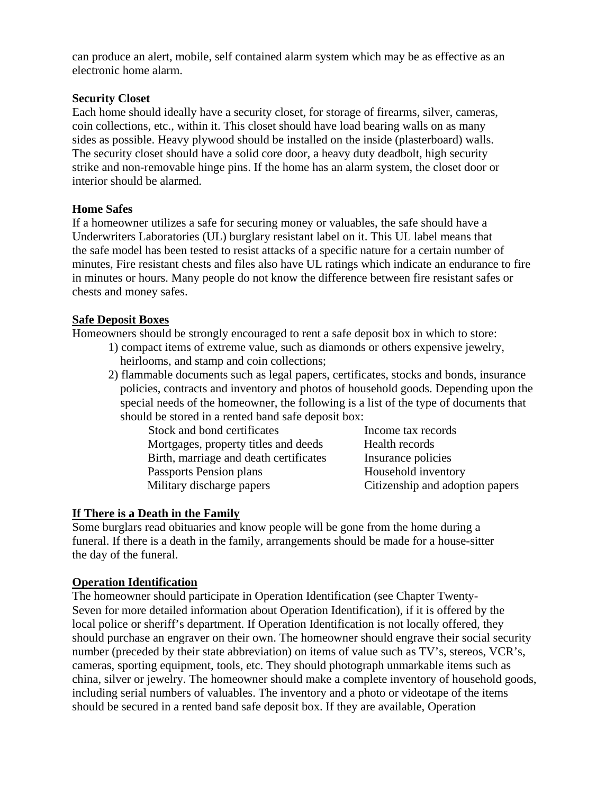can produce an alert, mobile, self contained alarm system which may be as effective as an electronic home alarm.

# **Security Closet**

Each home should ideally have a security closet, for storage of firearms, silver, cameras, coin collections, etc., within it. This closet should have load bearing walls on as many sides as possible. Heavy plywood should be installed on the inside (plasterboard) walls. The security closet should have a solid core door, a heavy duty deadbolt, high security strike and non-removable hinge pins. If the home has an alarm system, the closet door or interior should be alarmed.

# **Home Safes**

If a homeowner utilizes a safe for securing money or valuables, the safe should have a Underwriters Laboratories (UL) burglary resistant label on it. This UL label means that the safe model has been tested to resist attacks of a specific nature for a certain number of minutes, Fire resistant chests and files also have UL ratings which indicate an endurance to fire in minutes or hours. Many people do not know the difference between fire resistant safes or chests and money safes.

# **Safe Deposit Boxes**

Homeowners should be strongly encouraged to rent a safe deposit box in which to store:

- 1) compact items of extreme value, such as diamonds or others expensive jewelry, heirlooms, and stamp and coin collections;
- 2) flammable documents such as legal papers, certificates, stocks and bonds, insurance policies, contracts and inventory and photos of household goods. Depending upon the special needs of the homeowner, the following is a list of the type of documents that should be stored in a rented band safe deposit box:

| Stock and bond certificates            | Income tax records              |
|----------------------------------------|---------------------------------|
| Mortgages, property titles and deeds   | Health records                  |
| Birth, marriage and death certificates | Insurance policies              |
| Passports Pension plans                | Household inventory             |
| Military discharge papers              | Citizenship and adoption papers |

# **If There is a Death in the Family**

Some burglars read obituaries and know people will be gone from the home during a funeral. If there is a death in the family, arrangements should be made for a house-sitter the day of the funeral.

# **Operation Identification**

The homeowner should participate in Operation Identification (see Chapter Twenty-Seven for more detailed information about Operation Identification), if it is offered by the local police or sheriff's department. If Operation Identification is not locally offered, they should purchase an engraver on their own. The homeowner should engrave their social security number (preceded by their state abbreviation) on items of value such as TV's, stereos, VCR's, cameras, sporting equipment, tools, etc. They should photograph unmarkable items such as china, silver or jewelry. The homeowner should make a complete inventory of household goods, including serial numbers of valuables. The inventory and a photo or videotape of the items should be secured in a rented band safe deposit box. If they are available, Operation